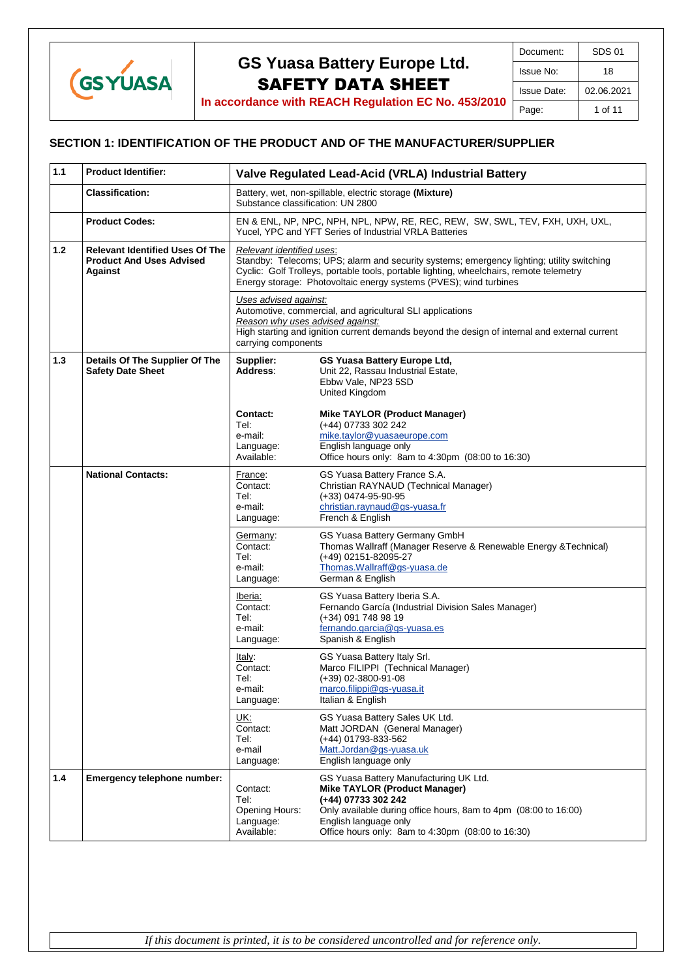

**In accordance with REACH Regulation EC No. 453/2010**

### **SECTION 1: IDENTIFICATION OF THE PRODUCT AND OF THE MANUFACTURER/SUPPLIER**

| 1.1   | <b>Product Identifier:</b>                                                                  | Valve Regulated Lead-Acid (VRLA) Industrial Battery                                                                                                                                                                                                                                                                                                                                                                                                                                                                                      |                                                                                                                                                                                                                                                        |  |
|-------|---------------------------------------------------------------------------------------------|------------------------------------------------------------------------------------------------------------------------------------------------------------------------------------------------------------------------------------------------------------------------------------------------------------------------------------------------------------------------------------------------------------------------------------------------------------------------------------------------------------------------------------------|--------------------------------------------------------------------------------------------------------------------------------------------------------------------------------------------------------------------------------------------------------|--|
|       | <b>Classification:</b>                                                                      | Battery, wet, non-spillable, electric storage (Mixture)<br>Substance classification: UN 2800                                                                                                                                                                                                                                                                                                                                                                                                                                             |                                                                                                                                                                                                                                                        |  |
|       | <b>Product Codes:</b>                                                                       | EN & ENL, NP, NPC, NPH, NPL, NPW, RE, REC, REW, SW, SWL, TEV, FXH, UXH, UXL,<br>Yucel, YPC and YFT Series of Industrial VRLA Batteries                                                                                                                                                                                                                                                                                                                                                                                                   |                                                                                                                                                                                                                                                        |  |
| $1.2$ | <b>Relevant Identified Uses Of The</b><br><b>Product And Uses Advised</b><br><b>Against</b> | Relevant identified uses:<br>Standby: Telecoms; UPS; alarm and security systems; emergency lighting; utility switching<br>Cyclic: Golf Trolleys, portable tools, portable lighting, wheelchairs, remote telemetry<br>Energy storage: Photovoltaic energy systems (PVES); wind turbines<br>Uses advised against:<br>Automotive, commercial, and agricultural SLI applications<br>Reason why uses advised against:<br>High starting and ignition current demands beyond the design of internal and external current<br>carrying components |                                                                                                                                                                                                                                                        |  |
|       |                                                                                             |                                                                                                                                                                                                                                                                                                                                                                                                                                                                                                                                          |                                                                                                                                                                                                                                                        |  |
| 1.3   | Details Of The Supplier Of The<br><b>Safety Date Sheet</b>                                  | Supplier:<br>Address:                                                                                                                                                                                                                                                                                                                                                                                                                                                                                                                    | GS Yuasa Battery Europe Ltd,<br>Unit 22, Rassau Industrial Estate,<br>Ebbw Vale, NP23 5SD<br><b>United Kingdom</b>                                                                                                                                     |  |
|       |                                                                                             | Contact:<br>Tel:<br>e-mail:<br>Language:<br>Available:                                                                                                                                                                                                                                                                                                                                                                                                                                                                                   | Mike TAYLOR (Product Manager)<br>(+44) 07733 302 242<br>mike.taylor@yuasaeurope.com<br>English language only<br>Office hours only: 8am to 4:30pm (08:00 to 16:30)                                                                                      |  |
|       | <b>National Contacts:</b>                                                                   | France:<br>Contact:<br>Tel:<br>e-mail:<br>Language:                                                                                                                                                                                                                                                                                                                                                                                                                                                                                      | GS Yuasa Battery France S.A.<br>Christian RAYNAUD (Technical Manager)<br>(+33) 0474-95-90-95<br>christian.raynaud@gs-yuasa.fr<br>French & English                                                                                                      |  |
|       |                                                                                             | Germany:<br>Contact:<br>Tel:<br>e-mail:<br>Language:                                                                                                                                                                                                                                                                                                                                                                                                                                                                                     | GS Yuasa Battery Germany GmbH<br>Thomas Wallraff (Manager Reserve & Renewable Energy & Technical)<br>(+49) 02151-82095-27<br>Thomas. Wallraff@gs-yuasa.de<br>German & English                                                                          |  |
|       |                                                                                             | Iberia:<br>Contact:<br>Tel:<br>e-mail:<br>Language:                                                                                                                                                                                                                                                                                                                                                                                                                                                                                      | GS Yuasa Battery Iberia S.A.<br>Fernando García (Industrial Division Sales Manager)<br>(+34) 091 748 98 19<br>fernando.garcia@gs-yuasa.es<br>Spanish & English                                                                                         |  |
|       |                                                                                             | Italy:<br>Contact:<br>Tel:<br>e-mail:<br>Language:                                                                                                                                                                                                                                                                                                                                                                                                                                                                                       | GS Yuasa Battery Italy Srl.<br>Marco FILIPPI (Technical Manager)<br>$(+39)$ 02-3800-91-08<br>marco.filippi@gs-yuasa.it<br>Italian & English                                                                                                            |  |
|       |                                                                                             | UK:<br>Contact:<br>Tel:<br>e-mail<br>Language:                                                                                                                                                                                                                                                                                                                                                                                                                                                                                           | GS Yuasa Battery Sales UK Ltd.<br>Matt JORDAN (General Manager)<br>(+44) 01793-833-562<br>Matt.Jordan@gs-yuasa.uk<br>English language only                                                                                                             |  |
| 1.4   | Emergency telephone number:                                                                 | Contact:<br>Tel:<br>Opening Hours:<br>Language:<br>Available:                                                                                                                                                                                                                                                                                                                                                                                                                                                                            | GS Yuasa Battery Manufacturing UK Ltd.<br><b>Mike TAYLOR (Product Manager)</b><br>(+44) 07733 302 242<br>Only available during office hours, 8am to 4pm (08:00 to 16:00)<br>English language only<br>Office hours only: 8am to 4:30pm (08:00 to 16:30) |  |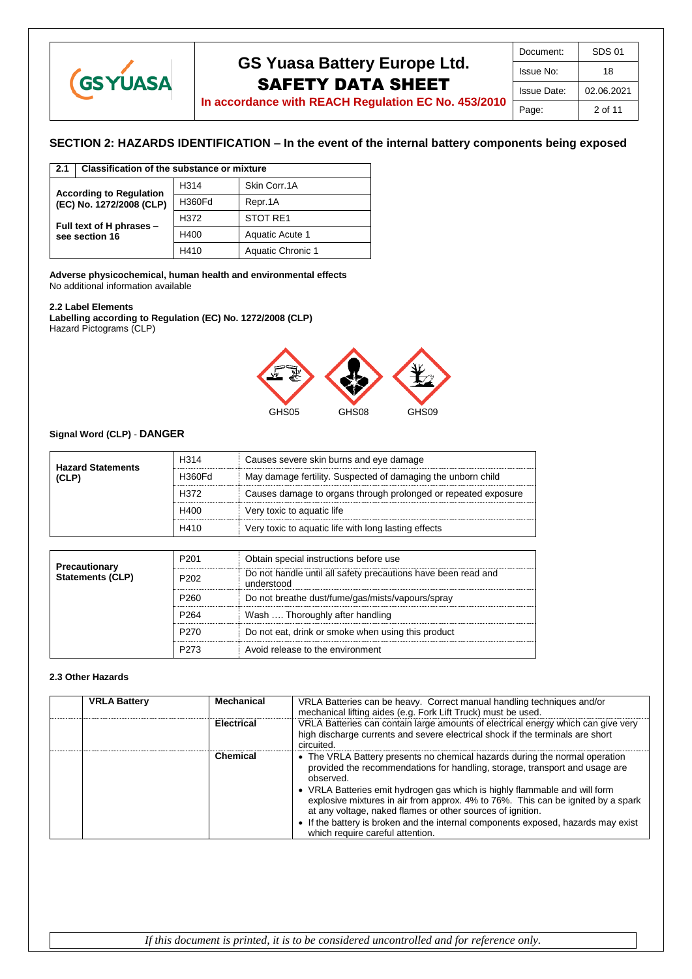

| Document:          | SDS 01     |
|--------------------|------------|
| Issue No:          | 18         |
| <b>Issue Date:</b> | 02.06.2021 |
| Page:              | 2 of 11    |

## **In accordance with REACH Regulation EC No. 453/2010**

### **SECTION 2: HAZARDS IDENTIFICATION – In the event of the internal battery components being exposed**

| 2.1                                                                                    | Classification of the substance or mixture |                  |                   |
|----------------------------------------------------------------------------------------|--------------------------------------------|------------------|-------------------|
| <b>According to Regulation</b><br>(EC) No. 1272/2008 (CLP)<br>Full text of H phrases - |                                            | H <sub>314</sub> | Skin Corr.1A      |
|                                                                                        |                                            | H360Fd           | Repr.1A           |
|                                                                                        |                                            | H372             | STOT RE1          |
|                                                                                        | see section 16                             | H400             | Aquatic Acute 1   |
|                                                                                        |                                            | H410             | Aquatic Chronic 1 |

**Adverse physicochemical, human health and environmental effects** No additional information available

#### **2.2 Label Elements**

**Labelling according to Regulation (EC) No. 1272/2008 (CLP)** Hazard Pictograms (CLP)



#### **Signal Word (CLP)** - **DANGER**

| <b>Hazard Statements</b> | H <sub>314</sub> | Causes severe skin burns and eye damage                        |
|--------------------------|------------------|----------------------------------------------------------------|
| (CLP)                    | H360Fd           | May damage fertility. Suspected of damaging the unborn child   |
|                          | H372             | Causes damage to organs through prolonged or repeated exposure |
|                          | H400             | Very toxic to aquatic life                                     |
|                          | H410             | Very toxic to aquatic life with long lasting effects           |

|                                          | P <sub>201</sub> | Obtain special instructions before use                                      |
|------------------------------------------|------------------|-----------------------------------------------------------------------------|
| Precautionary<br><b>Statements (CLP)</b> | P <sub>202</sub> | Do not handle until all safety precautions have been read and<br>understood |
|                                          | P <sub>260</sub> | Do not breathe dust/fume/gas/mists/vapours/spray                            |
|                                          | P <sub>264</sub> | Wash  Thoroughly after handling                                             |
|                                          | P270             | Do not eat, drink or smoke when using this product                          |
|                                          | P273             | Avoid release to the environment                                            |

#### **2.3 Other Hazards**

| <b>VRLA Battery</b> | Mechanical        | VRLA Batteries can be heavy. Correct manual handling techniques and/or<br>mechanical lifting aides (e.g. Fork Lift Truck) must be used.                                                                                                                                                                                                                                                                                                                                                                                          |
|---------------------|-------------------|----------------------------------------------------------------------------------------------------------------------------------------------------------------------------------------------------------------------------------------------------------------------------------------------------------------------------------------------------------------------------------------------------------------------------------------------------------------------------------------------------------------------------------|
|                     | <b>Electrical</b> | VRLA Batteries can contain large amounts of electrical energy which can give very<br>high discharge currents and severe electrical shock if the terminals are short<br>circuited.                                                                                                                                                                                                                                                                                                                                                |
|                     | Chemical          | • The VRLA Battery presents no chemical hazards during the normal operation<br>provided the recommendations for handling, storage, transport and usage are<br>observed.<br>• VRLA Batteries emit hydrogen gas which is highly flammable and will form<br>explosive mixtures in air from approx. 4% to 76%. This can be ignited by a spark<br>at any voltage, naked flames or other sources of ignition.<br>• If the battery is broken and the internal components exposed, hazards may exist<br>which require careful attention. |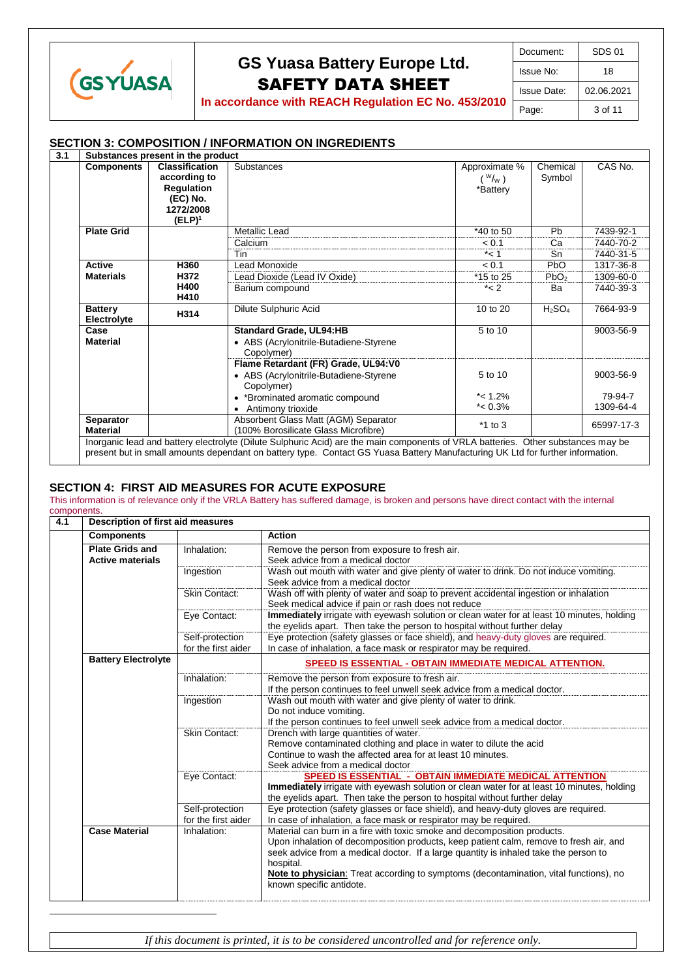

 $\overline{a}$ 

# **GS Yuasa Battery Europe Ltd.** SAFETY DATA SHEET

| Document:   | SDS 01     |
|-------------|------------|
| Issue No:   | 18         |
| Issue Date: | 02.06.2021 |
| Page:       | 3 of 11    |

**In accordance with REACH Regulation EC No. 453/2010**

#### **SECTION 3: COMPOSITION / INFORMATION ON INGREDIENTS**

| <b>Components</b>                             | <b>Classification</b> | Substances                             | Approximate %    | Chemical                       | CAS No.    |
|-----------------------------------------------|-----------------------|----------------------------------------|------------------|--------------------------------|------------|
|                                               | according to          |                                        | $(W_{\text{W}})$ | Symbol                         |            |
|                                               | <b>Regulation</b>     |                                        | *Battery         |                                |            |
|                                               | (EC) No.              |                                        |                  |                                |            |
|                                               | 1272/2008             |                                        |                  |                                |            |
|                                               | $(ELP)^1$             |                                        |                  |                                |            |
| <b>Plate Grid</b>                             |                       | <b>Metallic Lead</b>                   | *40 to 50        | Pb                             | 7439-92-1  |
|                                               |                       | Calcium                                | < 0.1            | Ca                             | 7440-70-2  |
|                                               |                       | Tin                                    | $*<1$            | Sn                             | 7440-31-5  |
| <b>Active</b>                                 | H360                  | Lead Monoxide                          | < 0.1            | P <sub>b</sub> O               | 1317-36-8  |
| <b>Materials</b>                              | H372                  | Lead Dioxide (Lead IV Oxide)           | *15 to 25        | PbO <sub>2</sub>               | 1309-60-0  |
|                                               | H400                  | Barium compound                        | $*< 2$           | Ba                             | 7440-39-3  |
|                                               | H410                  |                                        |                  |                                |            |
| <b>Battery</b><br>H314<br>Electrolyte<br>Case |                       | Dilute Sulphuric Acid                  | 10 to 20         | H <sub>2</sub> SO <sub>4</sub> | 7664-93-9  |
|                                               |                       | <b>Standard Grade, UL94:HB</b>         | 5 to 10          |                                | 9003-56-9  |
| <b>Material</b>                               |                       | • ABS (Acrylonitrile-Butadiene-Styrene |                  |                                |            |
|                                               |                       | Copolymer)                             |                  |                                |            |
|                                               |                       | Flame Retardant (FR) Grade, UL94:V0    |                  |                                |            |
|                                               |                       | • ABS (Acrylonitrile-Butadiene-Styrene | 5 to 10          |                                | 9003-56-9  |
|                                               |                       | Copolymer)                             |                  |                                |            |
|                                               |                       | • *Brominated aromatic compound        | $*$ < 1.2%       |                                | 79-94-7    |
|                                               |                       | Antimony trioxide                      | $*$ < 0.3%       |                                | 1309-64-4  |
| Separator                                     |                       | Absorbent Glass Matt (AGM) Separator   | $*1$ to 3        |                                | 65997-17-3 |
| <b>Material</b>                               |                       | (100% Borosilicate Glass Microfibre)   |                  |                                |            |

#### **SECTION 4: FIRST AID MEASURES FOR ACUTE EXPOSURE**

This information is of relevance only if the VRLA Battery has suffered damage, is broken and persons have direct contact with the internal components.

| 4.1 | Description of first aid measures                 |                                        |                                                                                                                                                                                                                                                                                                                                                                                              |
|-----|---------------------------------------------------|----------------------------------------|----------------------------------------------------------------------------------------------------------------------------------------------------------------------------------------------------------------------------------------------------------------------------------------------------------------------------------------------------------------------------------------------|
|     | <b>Components</b>                                 |                                        | <b>Action</b>                                                                                                                                                                                                                                                                                                                                                                                |
|     | <b>Plate Grids and</b><br><b>Active materials</b> | Inhalation:                            | Remove the person from exposure to fresh air.<br>Seek advice from a medical doctor                                                                                                                                                                                                                                                                                                           |
|     |                                                   | Ingestion                              | Wash out mouth with water and give plenty of water to drink. Do not induce vomiting.<br>Seek advice from a medical doctor                                                                                                                                                                                                                                                                    |
|     |                                                   | <b>Skin Contact:</b>                   | Wash off with plenty of water and soap to prevent accidental ingestion or inhalation<br>Seek medical advice if pain or rash does not reduce                                                                                                                                                                                                                                                  |
|     |                                                   | Eye Contact:                           | Immediately irrigate with eyewash solution or clean water for at least 10 minutes, holding<br>the eyelids apart. Then take the person to hospital without further delay                                                                                                                                                                                                                      |
|     |                                                   | Self-protection<br>for the first aider | Eye protection (safety glasses or face shield), and heavy-duty gloves are required.<br>In case of inhalation, a face mask or respirator may be required.                                                                                                                                                                                                                                     |
|     | <b>Battery Electrolyte</b>                        |                                        | <b>SPEED IS ESSENTIAL - OBTAIN IMMEDIATE MEDICAL ATTENTION.</b>                                                                                                                                                                                                                                                                                                                              |
|     |                                                   | Inhalation:                            | Remove the person from exposure to fresh air.<br>If the person continues to feel unwell seek advice from a medical doctor.                                                                                                                                                                                                                                                                   |
|     |                                                   | Ingestion                              | Wash out mouth with water and give plenty of water to drink.<br>Do not induce vomiting.<br>If the person continues to feel unwell seek advice from a medical doctor.                                                                                                                                                                                                                         |
|     |                                                   | <b>Skin Contact:</b>                   | Drench with large quantities of water.<br>Remove contaminated clothing and place in water to dilute the acid<br>Continue to wash the affected area for at least 10 minutes.<br>Seek advice from a medical doctor                                                                                                                                                                             |
|     |                                                   | Eye Contact:                           | SPEED IS ESSENTIAL - OBTAIN IMMEDIATE MEDICAL ATTENTION<br>Immediately irrigate with eyewash solution or clean water for at least 10 minutes, holding<br>the eyelids apart. Then take the person to hospital without further delay                                                                                                                                                           |
|     |                                                   | Self-protection<br>for the first aider | Eye protection (safety glasses or face shield), and heavy-duty gloves are required.<br>In case of inhalation, a face mask or respirator may be required.                                                                                                                                                                                                                                     |
|     | <b>Case Material</b>                              | Inhalation:                            | Material can burn in a fire with toxic smoke and decomposition products.<br>Upon inhalation of decomposition products, keep patient calm, remove to fresh air, and<br>seek advice from a medical doctor. If a large quantity is inhaled take the person to<br>hospital.<br>Note to physician: Treat according to symptoms (decontamination, vital functions), no<br>known specific antidote. |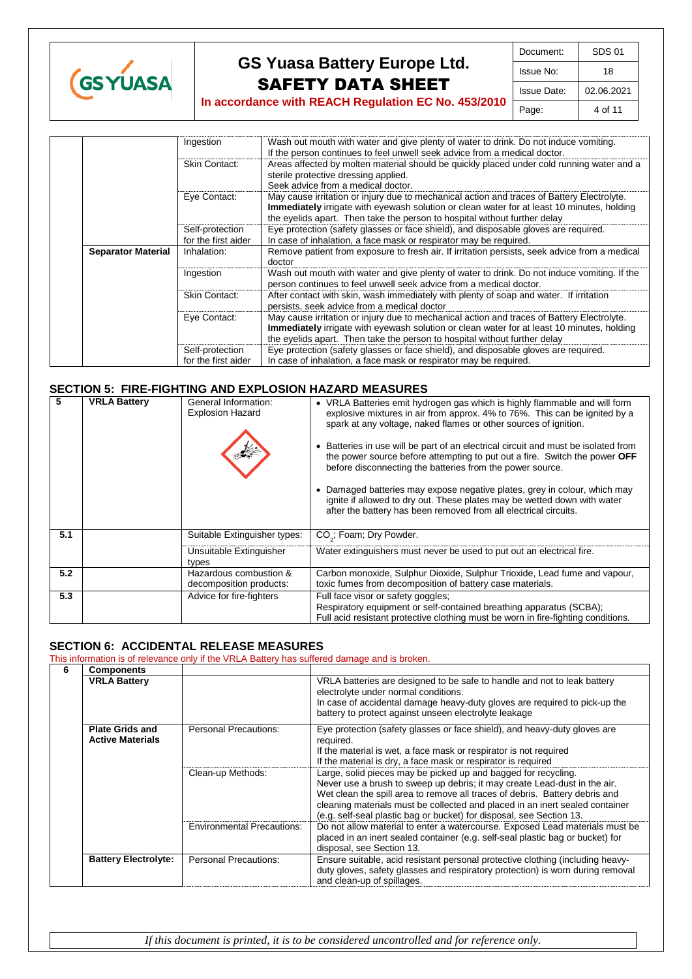

| Document:   | SDS 01     |
|-------------|------------|
| Issue No:   | 18         |
| Issue Date: | 02.06.2021 |
| Page:       | 4 of 11    |

Ingestion Wash out mouth with water and give plenty of water to drink. Do not induce vomiting. If the person continues to feel unwell seek advice from a medical doctor. Skin Contact: | Areas affected by molten material should be quickly placed under cold running water and a sterile protective dressing applied. Seek advice from a medical doctor. Eye Contact: May cause irritation or injury due to mechanical action and traces of Battery Electrolyte. **Immediately** irrigate with eyewash solution or clean water for at least 10 minutes, holding the eyelids apart. Then take the person to hospital without further delay Self-protection for the first aider<br>Inhalation: Eye protection (safety glasses or face shield), and disposable gloves are required. In case of inhalation, a face mask or respirator may be required. **Separator Material** Inhalation: Remove patient from exposure to fresh air. If irritation persists, seek advice from a medical doctor Ingestion Wash out mouth with water and give plenty of water to drink. Do not induce vomiting. If the person continues to feel unwell seek advice from a medical doctor. Skin Contact: | After contact with skin, wash immediately with plenty of soap and water. If irritation persists, seek advice from a medical doctor Eye Contact: May cause irritation or injury due to mechanical action and traces of Battery Electrolyte. **Immediately** irrigate with eyewash solution or clean water for at least 10 minutes, holding the eyelids apart. Then take the person to hospital without further delay Self-protection for the first aider Eye protection (safety glasses or face shield), and disposable gloves are required. In case of inhalation, a face mask or respirator may be required.

#### **SECTION 5: FIRE-FIGHTING AND EXPLOSION HAZARD MEASURES**

| 5   | <b>VRLA Battery</b> | General Information:<br><b>Explosion Hazard</b>   | • VRLA Batteries emit hydrogen gas which is highly flammable and will form<br>explosive mixtures in air from approx. 4% to 76%. This can be ignited by a<br>spark at any voltage, naked flames or other sources of ignition.<br>• Batteries in use will be part of an electrical circuit and must be isolated from<br>the power source before attempting to put out a fire. Switch the power OFF<br>before disconnecting the batteries from the power source.<br>Damaged batteries may expose negative plates, grey in colour, which may<br>ignite if allowed to dry out. These plates may be wetted down with water<br>after the battery has been removed from all electrical circuits. |
|-----|---------------------|---------------------------------------------------|------------------------------------------------------------------------------------------------------------------------------------------------------------------------------------------------------------------------------------------------------------------------------------------------------------------------------------------------------------------------------------------------------------------------------------------------------------------------------------------------------------------------------------------------------------------------------------------------------------------------------------------------------------------------------------------|
| 5.1 |                     | Suitable Extinguisher types:                      | CO <sub>2</sub> ; Foam; Dry Powder.                                                                                                                                                                                                                                                                                                                                                                                                                                                                                                                                                                                                                                                      |
|     |                     | Unsuitable Extinguisher<br>types                  | Water extinguishers must never be used to put out an electrical fire.                                                                                                                                                                                                                                                                                                                                                                                                                                                                                                                                                                                                                    |
| 5.2 |                     | Hazardous combustion &<br>decomposition products: | Carbon monoxide, Sulphur Dioxide, Sulphur Trioxide, Lead fume and vapour,<br>toxic fumes from decomposition of battery case materials.                                                                                                                                                                                                                                                                                                                                                                                                                                                                                                                                                   |
| 5.3 |                     | Advice for fire-fighters                          | Full face visor or safety goggles;<br>Respiratory equipment or self-contained breathing apparatus (SCBA);<br>Full acid resistant protective clothing must be worn in fire-fighting conditions.                                                                                                                                                                                                                                                                                                                                                                                                                                                                                           |

### **SECTION 6: ACCIDENTAL RELEASE MEASURES**

This information is of relevance only if the VRLA Battery has suffered damage and is broken.

| 6 | <b>Components</b>                                 |                                   |                                                                                                                                                                                                                                                                                                                                                                                    |
|---|---------------------------------------------------|-----------------------------------|------------------------------------------------------------------------------------------------------------------------------------------------------------------------------------------------------------------------------------------------------------------------------------------------------------------------------------------------------------------------------------|
|   | <b>VRLA Battery</b>                               |                                   | VRLA batteries are designed to be safe to handle and not to leak battery<br>electrolyte under normal conditions.<br>In case of accidental damage heavy-duty gloves are required to pick-up the<br>battery to protect against unseen electrolyte leakage                                                                                                                            |
|   | <b>Plate Grids and</b><br><b>Active Materials</b> | Personal Precautions:             | Eye protection (safety glasses or face shield), and heavy-duty gloves are<br>required.<br>If the material is wet, a face mask or respirator is not required<br>If the material is dry, a face mask or respirator is required                                                                                                                                                       |
|   |                                                   | Clean-up Methods:                 | Large, solid pieces may be picked up and bagged for recycling.<br>Never use a brush to sweep up debris; it may create Lead-dust in the air.<br>Wet clean the spill area to remove all traces of debris. Battery debris and<br>cleaning materials must be collected and placed in an inert sealed container<br>(e.g. self-seal plastic bag or bucket) for disposal, see Section 13. |
|   |                                                   | <b>Environmental Precautions:</b> | Do not allow material to enter a watercourse. Exposed Lead materials must be<br>placed in an inert sealed container (e.g. self-seal plastic bag or bucket) for<br>disposal, see Section 13.                                                                                                                                                                                        |
|   | <b>Battery Electrolyte:</b>                       | Personal Precautions:             | Ensure suitable, acid resistant personal protective clothing (including heavy-<br>duty gloves, safety glasses and respiratory protection) is worn during removal<br>and clean-up of spillages.                                                                                                                                                                                     |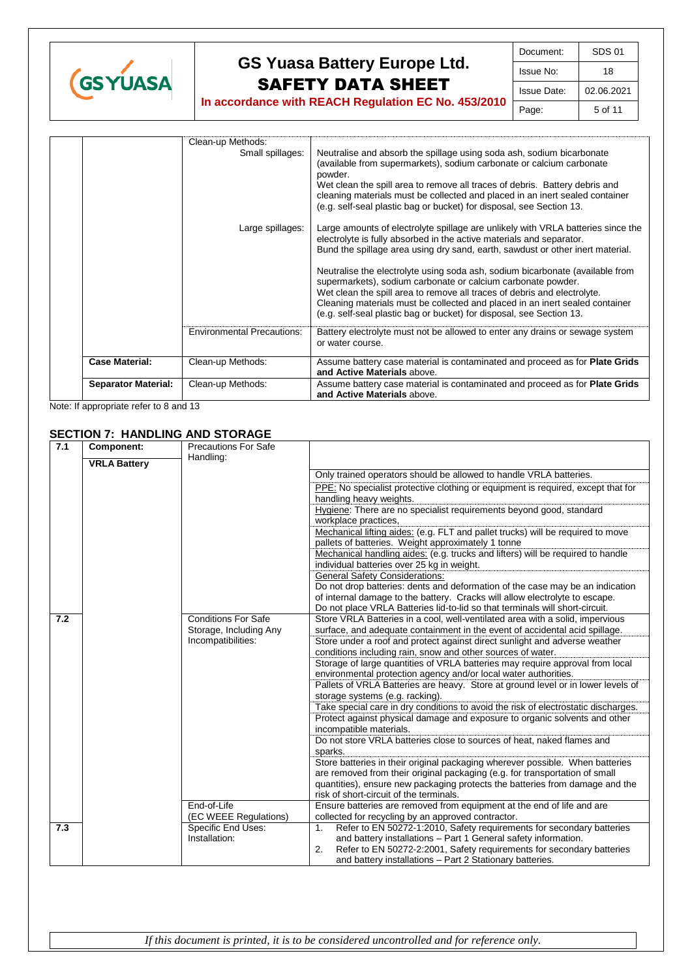

|                            | Clean-up Methods:<br>Small spillages: | Neutralise and absorb the spillage using soda ash, sodium bicarbonate<br>(available from supermarkets), sodium carbonate or calcium carbonate<br>powder.<br>Wet clean the spill area to remove all traces of debris. Battery debris and<br>cleaning materials must be collected and placed in an inert sealed container<br>(e.g. self-seal plastic bag or bucket) for disposal, see Section 13. |
|----------------------------|---------------------------------------|-------------------------------------------------------------------------------------------------------------------------------------------------------------------------------------------------------------------------------------------------------------------------------------------------------------------------------------------------------------------------------------------------|
|                            | Large spillages:                      | Large amounts of electrolyte spillage are unlikely with VRLA batteries since the<br>electrolyte is fully absorbed in the active materials and separator.<br>Bund the spillage area using dry sand, earth, sawdust or other inert material.                                                                                                                                                      |
|                            |                                       | Neutralise the electrolyte using soda ash, sodium bicarbonate (available from<br>supermarkets), sodium carbonate or calcium carbonate powder.<br>Wet clean the spill area to remove all traces of debris and electrolyte.<br>Cleaning materials must be collected and placed in an inert sealed container<br>(e.g. self-seal plastic bag or bucket) for disposal, see Section 13.               |
|                            | <b>Environmental Precautions:</b>     | Battery electrolyte must not be allowed to enter any drains or sewage system<br>or water course.                                                                                                                                                                                                                                                                                                |
| <b>Case Material:</b>      | Clean-up Methods:                     | Assume battery case material is contaminated and proceed as for <b>Plate Grids</b><br>and Active Materials above.                                                                                                                                                                                                                                                                               |
| <b>Separator Material:</b> | Clean-up Methods:                     | Assume battery case material is contaminated and proceed as for <b>Plate Grids</b><br>and Active Materials above.                                                                                                                                                                                                                                                                               |

Note: If appropriate refer to 8 and 13

### **SECTION 7: HANDLING AND STORAGE**

| 7.1 | <b>Component:</b>   | <b>Precautions For Safe</b> |                                                                                    |
|-----|---------------------|-----------------------------|------------------------------------------------------------------------------------|
|     | <b>VRLA Battery</b> | Handling:                   |                                                                                    |
|     |                     |                             | Only trained operators should be allowed to handle VRLA batteries.                 |
|     |                     |                             |                                                                                    |
|     |                     |                             | PPE: No specialist protective clothing or equipment is required, except that for   |
|     |                     |                             | handling heavy weights.                                                            |
|     |                     |                             | Hygiene: There are no specialist requirements beyond good, standard                |
|     |                     |                             | workplace practices.                                                               |
|     |                     |                             | Mechanical lifting aides: (e.g. FLT and pallet trucks) will be required to move    |
|     |                     |                             | pallets of batteries. Weight approximately 1 tonne                                 |
|     |                     |                             | Mechanical handling aides: (e.g. trucks and lifters) will be required to handle    |
|     |                     |                             | individual batteries over 25 kg in weight.                                         |
|     |                     |                             | <b>General Safety Considerations:</b>                                              |
|     |                     |                             | Do not drop batteries: dents and deformation of the case may be an indication      |
|     |                     |                             | of internal damage to the battery. Cracks will allow electrolyte to escape.        |
|     |                     |                             | Do not place VRLA Batteries lid-to-lid so that terminals will short-circuit.       |
| 7.2 |                     | <b>Conditions For Safe</b>  | Store VRLA Batteries in a cool, well-ventilated area with a solid, impervious      |
|     |                     | Storage, Including Any      | surface, and adequate containment in the event of accidental acid spillage.        |
|     |                     | Incompatibilities:          | Store under a roof and protect against direct sunlight and adverse weather         |
|     |                     |                             | conditions including rain, snow and other sources of water.                        |
|     |                     |                             | Storage of large quantities of VRLA batteries may require approval from local      |
|     |                     |                             | environmental protection agency and/or local water authorities.                    |
|     |                     |                             | Pallets of VRLA Batteries are heavy. Store at ground level or in lower levels of   |
|     |                     |                             | storage systems (e.g. racking).                                                    |
|     |                     |                             | Take special care in dry conditions to avoid the risk of electrostatic discharges. |
|     |                     |                             | Protect against physical damage and exposure to organic solvents and other         |
|     |                     |                             | incompatible materials.                                                            |
|     |                     |                             | Do not store VRLA batteries close to sources of heat, naked flames and             |
|     |                     |                             | sparks.                                                                            |
|     |                     |                             | Store batteries in their original packaging wherever possible. When batteries      |
|     |                     |                             | are removed from their original packaging (e.g. for transportation of small        |
|     |                     |                             | quantities), ensure new packaging protects the batteries from damage and the       |
|     |                     |                             | risk of short-circuit of the terminals.                                            |
|     |                     | End-of-Life                 | Ensure batteries are removed from equipment at the end of life and are             |
|     |                     | (EC WEEE Regulations)       | collected for recycling by an approved contractor.                                 |
| 7.3 |                     | Specific End Uses:          | Refer to EN 50272-1:2010, Safety requirements for secondary batteries<br>1.        |
|     |                     | Installation:               | and battery installations - Part 1 General safety information.                     |
|     |                     |                             | 2.<br>Refer to EN 50272-2:2001, Safety requirements for secondary batteries        |
|     |                     |                             | and battery installations - Part 2 Stationary batteries.                           |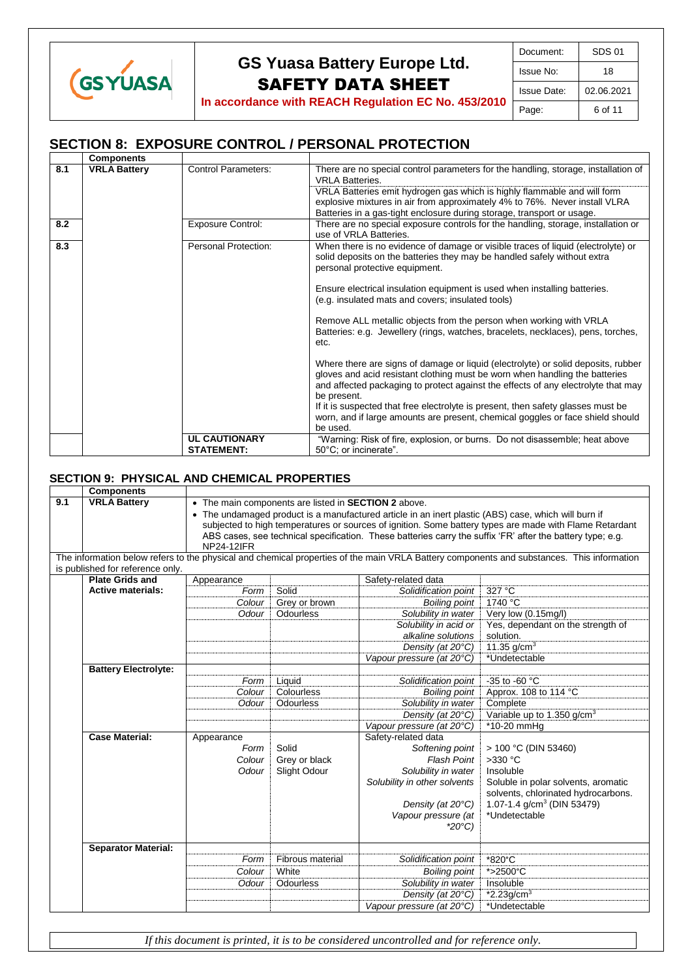

**In accordance with REACH Regulation EC No. 453/2010**

## **SECTION 8: EXPOSURE CONTROL / PERSONAL PROTECTION**

|     | <b>Components</b>   |                                           |                                                                                                                                                                                                                                                                         |
|-----|---------------------|-------------------------------------------|-------------------------------------------------------------------------------------------------------------------------------------------------------------------------------------------------------------------------------------------------------------------------|
| 8.1 | <b>VRLA Battery</b> | <b>Control Parameters:</b>                | There are no special control parameters for the handling, storage, installation of<br><b>VRI A Batteries.</b><br>VRLA Batteries emit hydrogen gas which is highly flammable and will form<br>explosive mixtures in air from approximately 4% to 76%. Never install VLRA |
|     |                     |                                           | Batteries in a gas-tight enclosure during storage, transport or usage.                                                                                                                                                                                                  |
| 8.2 |                     | <b>Exposure Control:</b>                  | There are no special exposure controls for the handling, storage, installation or<br>use of VRLA Batteries.                                                                                                                                                             |
| 8.3 |                     | Personal Protection:                      | When there is no evidence of damage or visible traces of liquid (electrolyte) or<br>solid deposits on the batteries they may be handled safely without extra<br>personal protective equipment.                                                                          |
|     |                     |                                           | Ensure electrical insulation equipment is used when installing batteries.<br>(e.g. insulated mats and covers; insulated tools)                                                                                                                                          |
|     |                     |                                           | Remove ALL metallic objects from the person when working with VRLA<br>Batteries: e.g. Jewellery (rings, watches, bracelets, necklaces), pens, torches,<br>etc.                                                                                                          |
|     |                     |                                           | Where there are signs of damage or liquid (electrolyte) or solid deposits, rubber<br>gloves and acid resistant clothing must be worn when handling the batteries<br>and affected packaging to protect against the effects of any electrolyte that may<br>be present.    |
|     |                     |                                           | If it is suspected that free electrolyte is present, then safety glasses must be<br>worn, and if large amounts are present, chemical goggles or face shield should<br>be used.                                                                                          |
|     |                     | <b>UL CAUTIONARY</b><br><b>STATEMENT:</b> | "Warning: Risk of fire, explosion, or burns. Do not disassemble; heat above<br>50°C; or incinerate".                                                                                                                                                                    |

### **SECTION 9: PHYSICAL AND CHEMICAL PROPERTIES**

|     | <b>Components</b>                |                   |                                                      |                                                                                                      |                                                                                                                                           |
|-----|----------------------------------|-------------------|------------------------------------------------------|------------------------------------------------------------------------------------------------------|-------------------------------------------------------------------------------------------------------------------------------------------|
| 9.1 | <b>VRLA Battery</b>              |                   | • The main components are listed in SECTION 2 above. |                                                                                                      |                                                                                                                                           |
|     |                                  |                   |                                                      | • The undamaged product is a manufactured article in an inert plastic (ABS) case, which will burn if |                                                                                                                                           |
|     |                                  |                   |                                                      |                                                                                                      | subjected to high temperatures or sources of ignition. Some battery types are made with Flame Retardant                                   |
|     |                                  |                   |                                                      |                                                                                                      | ABS cases, see technical specification. These batteries carry the suffix 'FR' after the battery type; e.g.                                |
|     |                                  | <b>NP24-12IFR</b> |                                                      |                                                                                                      |                                                                                                                                           |
|     |                                  |                   |                                                      |                                                                                                      | The information below refers to the physical and chemical properties of the main VRLA Battery components and substances. This information |
|     | is published for reference only. |                   |                                                      |                                                                                                      |                                                                                                                                           |
|     | <b>Plate Grids and</b>           | Appearance        |                                                      | Safety-related data                                                                                  |                                                                                                                                           |
|     | <b>Active materials:</b>         | Form              | Solid                                                | Solidification point                                                                                 | 327 °C                                                                                                                                    |
|     |                                  | Colour            | Grey or brown                                        | <b>Boiling point</b>                                                                                 | 1740 °C                                                                                                                                   |
|     |                                  | Odour             | Odourless                                            | Solubility in water                                                                                  | Very low (0.15mg/l)                                                                                                                       |
|     |                                  |                   |                                                      | Solubility in acid or                                                                                | Yes, dependant on the strength of                                                                                                         |
|     |                                  |                   |                                                      | alkaline solutions                                                                                   | solution.                                                                                                                                 |
|     |                                  |                   |                                                      | Density (at 20°C)                                                                                    | 11.35 $g/cm^{3}$                                                                                                                          |
|     |                                  |                   |                                                      | Vapour pressure (at 20°C)                                                                            | *Undetectable                                                                                                                             |
|     | <b>Battery Electrolyte:</b>      |                   |                                                      |                                                                                                      |                                                                                                                                           |
|     |                                  | Form              | Liquid                                               | Solidification point                                                                                 | -35 to -60 $\degree$ C                                                                                                                    |
|     |                                  | Colour            | Colourless                                           | <b>Boiling point</b>                                                                                 | Approx. 108 to 114 °C                                                                                                                     |
|     |                                  | Odour             | Odourless                                            | Solubility in water                                                                                  | Complete                                                                                                                                  |
|     |                                  |                   |                                                      | Density (at 20°C)                                                                                    | Variable up to 1.350 g/cm <sup>3</sup>                                                                                                    |
|     |                                  |                   |                                                      | Vapour pressure (at 20°C)                                                                            | *10-20 mmHq                                                                                                                               |
|     | <b>Case Material:</b>            | Appearance        |                                                      | Safety-related data                                                                                  |                                                                                                                                           |
|     |                                  | Form              | Solid                                                | Softening point                                                                                      | > 100 °C (DIN 53460)                                                                                                                      |
|     |                                  | Colour            | Grey or black                                        | <b>Flash Point</b>                                                                                   | $>330$ °C                                                                                                                                 |
|     |                                  | Odour             | Slight Odour                                         | Solubility in water                                                                                  | Insoluble                                                                                                                                 |
|     |                                  |                   |                                                      | Solubility in other solvents                                                                         | Soluble in polar solvents, aromatic<br>solvents, chlorinated hydrocarbons.                                                                |
|     |                                  |                   |                                                      | Density (at 20°C)                                                                                    | 1.07-1.4 g/cm <sup>3</sup> (DIN 53479)                                                                                                    |
|     |                                  |                   |                                                      | Vapour pressure (at                                                                                  | *Undetectable                                                                                                                             |
|     |                                  |                   |                                                      | $*20^{\circ}C$                                                                                       |                                                                                                                                           |
|     | <b>Separator Material:</b>       |                   |                                                      |                                                                                                      |                                                                                                                                           |
|     |                                  | Form              | Fibrous material                                     | Solidification point                                                                                 | *820°C                                                                                                                                    |
|     |                                  | Colour            | White                                                | <b>Boiling point</b>                                                                                 | *>2500°C                                                                                                                                  |
|     |                                  | Odour             | Odourless                                            | Solubility in water                                                                                  | Insoluble                                                                                                                                 |
|     |                                  |                   |                                                      | Density (at 20°C)                                                                                    | $*2.23 g/cm3$                                                                                                                             |
|     |                                  |                   |                                                      | Vapour pressure (at 20°C)                                                                            | *Undetectable                                                                                                                             |

*If this document is printed, it is to be considered uncontrolled and for reference only.*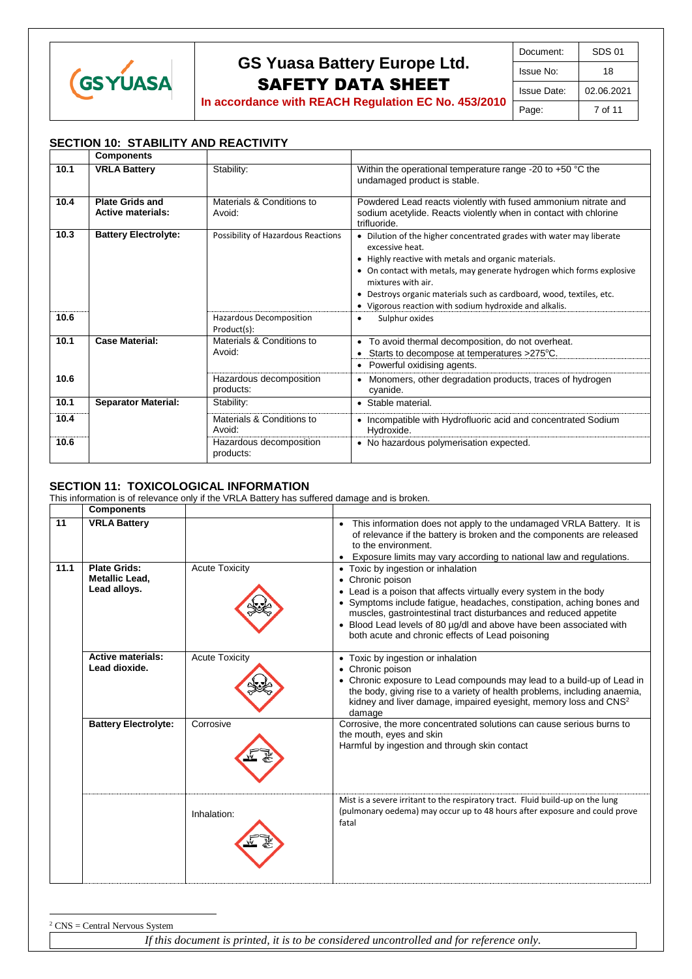

| Document:   | SDS 01     |
|-------------|------------|
| Issue No:   | 18         |
| Issue Date: | 02.06.2021 |
| Page:       | 7 of 11    |

## **SECTION 10: STABILITY AND REACTIVITY**

|      | <b>Components</b>                                  |                                        |                                                                                                                                                                                                                                                                                                                                                                                  |
|------|----------------------------------------------------|----------------------------------------|----------------------------------------------------------------------------------------------------------------------------------------------------------------------------------------------------------------------------------------------------------------------------------------------------------------------------------------------------------------------------------|
| 10.1 | <b>VRLA Battery</b>                                | Stability:                             | Within the operational temperature range -20 to $+50$ °C the<br>undamaged product is stable.                                                                                                                                                                                                                                                                                     |
| 10.4 | <b>Plate Grids and</b><br><b>Active materials:</b> | Materials & Conditions to<br>Avoid:    | Powdered Lead reacts violently with fused ammonium nitrate and<br>sodium acetylide. Reacts violently when in contact with chlorine<br>trifluoride.                                                                                                                                                                                                                               |
| 10.3 | <b>Battery Electrolyte:</b>                        | Possibility of Hazardous Reactions     | • Dilution of the higher concentrated grades with water may liberate<br>excessive heat.<br>• Highly reactive with metals and organic materials.<br>• On contact with metals, may generate hydrogen which forms explosive<br>mixtures with air.<br>• Destroys organic materials such as cardboard, wood, textiles, etc.<br>• Vigorous reaction with sodium hydroxide and alkalis. |
| 10.6 |                                                    | Hazardous Decomposition<br>Product(s): | Sulphur oxides<br>$\bullet$                                                                                                                                                                                                                                                                                                                                                      |
| 10.1 | <b>Case Material:</b>                              | Materials & Conditions to<br>Avoid:    | • To avoid thermal decomposition, do not overheat.<br>Starts to decompose at temperatures >275°C.<br>٠<br>Powerful oxidising agents.<br>٠                                                                                                                                                                                                                                        |
| 10.6 |                                                    | Hazardous decomposition<br>products:   | Monomers, other degradation products, traces of hydrogen<br>٠<br>cyanide.                                                                                                                                                                                                                                                                                                        |
| 10.1 | <b>Separator Material:</b>                         | Stability:                             | • Stable material.                                                                                                                                                                                                                                                                                                                                                               |
| 10.4 |                                                    | Materials & Conditions to<br>Avoid:    | • Incompatible with Hydrofluoric acid and concentrated Sodium<br>Hydroxide.                                                                                                                                                                                                                                                                                                      |
| 10.6 |                                                    | Hazardous decomposition<br>products:   | • No hazardous polymerisation expected.                                                                                                                                                                                                                                                                                                                                          |

## **SECTION 11: TOXICOLOGICAL INFORMATION**

 $\overline{a}$ 

This information is of relevance only if the VRLA Battery has suffered damage and is broken.

|      | <b>Components</b>                                     |                       |                                                                                                                                                                                                                                                                                                                                                                                                       |
|------|-------------------------------------------------------|-----------------------|-------------------------------------------------------------------------------------------------------------------------------------------------------------------------------------------------------------------------------------------------------------------------------------------------------------------------------------------------------------------------------------------------------|
| 11   | <b>VRLA Battery</b>                                   |                       | This information does not apply to the undamaged VRLA Battery. It is<br>of relevance if the battery is broken and the components are released<br>to the environment.<br>Exposure limits may vary according to national law and regulations.                                                                                                                                                           |
| 11.1 | <b>Plate Grids:</b><br>Metallic Lead,<br>Lead alloys. | <b>Acute Toxicity</b> | • Toxic by ingestion or inhalation<br>• Chronic poison<br>• Lead is a poison that affects virtually every system in the body<br>• Symptoms include fatigue, headaches, constipation, aching bones and<br>muscles, gastrointestinal tract disturbances and reduced appetite<br>• Blood Lead levels of 80 µg/dl and above have been associated with<br>both acute and chronic effects of Lead poisoning |
|      | <b>Active materials:</b><br>Lead dioxide.             | <b>Acute Toxicity</b> | • Toxic by ingestion or inhalation<br>• Chronic poison<br>• Chronic exposure to Lead compounds may lead to a build-up of Lead in<br>the body, giving rise to a variety of health problems, including anaemia,<br>kidney and liver damage, impaired eyesight, memory loss and CNS <sup>2</sup><br>damage                                                                                               |
|      | <b>Battery Electrolyte:</b>                           | Corrosive             | Corrosive, the more concentrated solutions can cause serious burns to<br>the mouth, eyes and skin<br>Harmful by ingestion and through skin contact                                                                                                                                                                                                                                                    |
|      |                                                       | Inhalation:           | Mist is a severe irritant to the respiratory tract. Fluid build-up on the lung<br>(pulmonary oedema) may occur up to 48 hours after exposure and could prove<br>fatal                                                                                                                                                                                                                                 |

*If this document is printed, it is to be considered uncontrolled and for reference only.*  $2$  CNS = Central Nervous System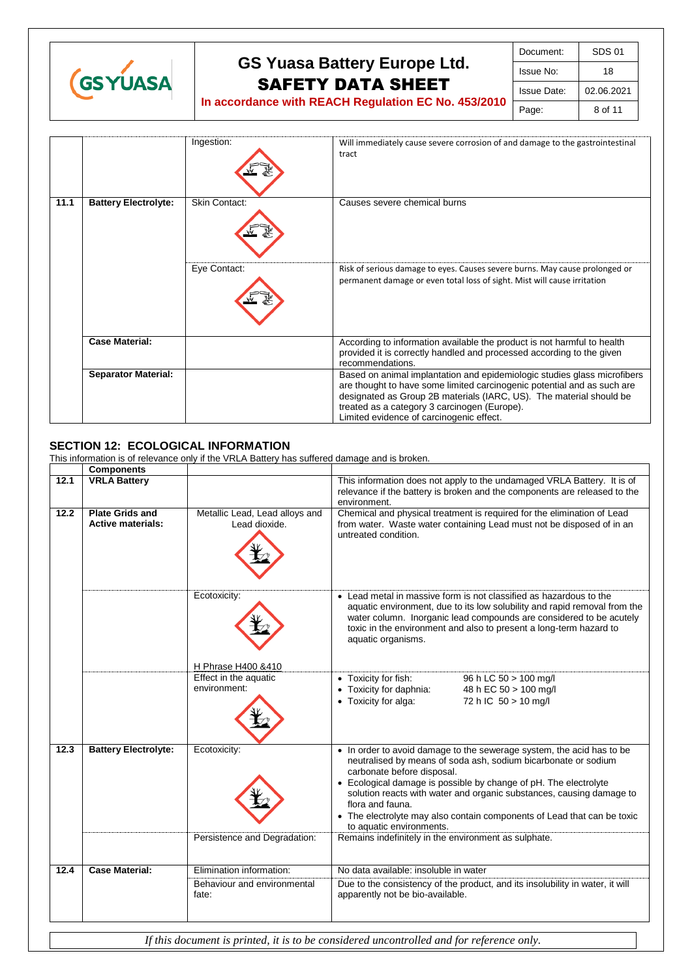

| Document:          | SDS 01     |
|--------------------|------------|
| Issue No:          | 18         |
| <b>Issue Date:</b> | 02.06.2021 |
| Page:              | 8 of 11    |

**In accordance with REACH Regulation EC No. 453/2010**

|      |                             | Ingestion:    | Will immediately cause severe corrosion of and damage to the gastrointestinal<br>tract                                                                                                                                                                                                                                 |
|------|-----------------------------|---------------|------------------------------------------------------------------------------------------------------------------------------------------------------------------------------------------------------------------------------------------------------------------------------------------------------------------------|
| 11.1 | <b>Battery Electrolyte:</b> | Skin Contact: | Causes severe chemical burns                                                                                                                                                                                                                                                                                           |
|      |                             | Eye Contact:  | Risk of serious damage to eyes. Causes severe burns. May cause prolonged or<br>permanent damage or even total loss of sight. Mist will cause irritation                                                                                                                                                                |
|      | <b>Case Material:</b>       |               | According to information available the product is not harmful to health<br>provided it is correctly handled and processed according to the given<br>recommendations.                                                                                                                                                   |
|      | <b>Separator Material:</b>  |               | Based on animal implantation and epidemiologic studies glass microfibers<br>are thought to have some limited carcinogenic potential and as such are<br>designated as Group 2B materials (IARC, US). The material should be<br>treated as a category 3 carcinogen (Europe).<br>Limited evidence of carcinogenic effect. |

## **SECTION 12: ECOLOGICAL INFORMATION**

This information is of relevance only if the VRLA Battery has suffered damage and is broken.

|      | <b>Components</b>                                  |                                                 |                                                                                                                                                                                                                                                                                                                                                                                                                                              |
|------|----------------------------------------------------|-------------------------------------------------|----------------------------------------------------------------------------------------------------------------------------------------------------------------------------------------------------------------------------------------------------------------------------------------------------------------------------------------------------------------------------------------------------------------------------------------------|
| 12.1 | <b>VRLA Battery</b>                                |                                                 | This information does not apply to the undamaged VRLA Battery. It is of<br>relevance if the battery is broken and the components are released to the<br>environment.                                                                                                                                                                                                                                                                         |
| 12.2 | <b>Plate Grids and</b><br><b>Active materials:</b> | Metallic Lead, Lead alloys and<br>Lead dioxide. | Chemical and physical treatment is required for the elimination of Lead<br>from water. Waste water containing Lead must not be disposed of in an<br>untreated condition.                                                                                                                                                                                                                                                                     |
|      |                                                    | Ecotoxicity:                                    | • Lead metal in massive form is not classified as hazardous to the<br>aquatic environment, due to its low solubility and rapid removal from the<br>water column. Inorganic lead compounds are considered to be acutely<br>toxic in the environment and also to present a long-term hazard to<br>aquatic organisms.                                                                                                                           |
|      |                                                    | H Phrase H400 &410                              |                                                                                                                                                                                                                                                                                                                                                                                                                                              |
|      |                                                    | Effect in the aquatic<br>environment:           | • Toxicity for fish:<br>96 h LC 50 > 100 mg/l<br>• Toxicity for daphnia:<br>48 h EC 50 > 100 mg/l<br>• Toxicity for alga:<br>72 h IC 50 > 10 mg/l                                                                                                                                                                                                                                                                                            |
| 12.3 | <b>Battery Electrolyte:</b>                        | Ecotoxicity:                                    | • In order to avoid damage to the sewerage system, the acid has to be<br>neutralised by means of soda ash, sodium bicarbonate or sodium<br>carbonate before disposal.<br>• Ecological damage is possible by change of pH. The electrolyte<br>solution reacts with water and organic substances, causing damage to<br>flora and fauna.<br>• The electrolyte may also contain components of Lead that can be toxic<br>to aquatic environments. |
|      |                                                    | Persistence and Degradation:                    | Remains indefinitely in the environment as sulphate.                                                                                                                                                                                                                                                                                                                                                                                         |
| 12.4 | <b>Case Material:</b>                              | Elimination information:                        | No data available: insoluble in water                                                                                                                                                                                                                                                                                                                                                                                                        |
|      |                                                    | Behaviour and environmental<br>fate:            | Due to the consistency of the product, and its insolubility in water, it will<br>apparently not be bio-available.                                                                                                                                                                                                                                                                                                                            |
|      |                                                    |                                                 |                                                                                                                                                                                                                                                                                                                                                                                                                                              |
|      |                                                    |                                                 | If this document is printed, it is to be considered uncontrolled and for reference only.                                                                                                                                                                                                                                                                                                                                                     |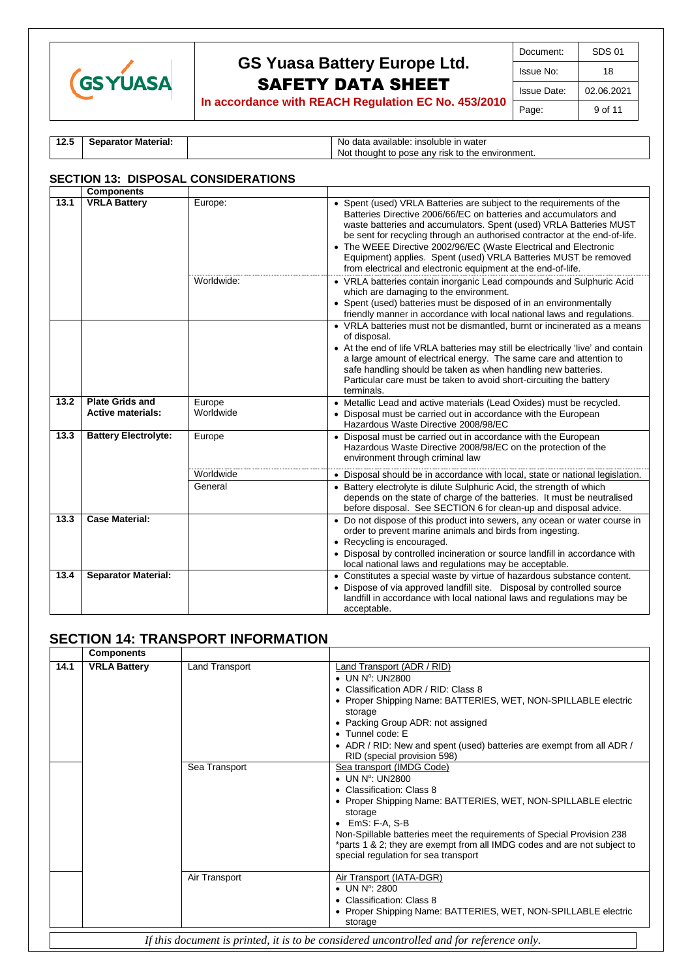

| Document:   | SDS 01             |
|-------------|--------------------|
| Issue No:   | 18                 |
| Issue Date: | 02.06.2021         |
| Page:       | 9 <sub>of</sub> 11 |

**In accordance with REACH Regulation EC No. 453/2010**

| 14.J | <b>Separator Material:</b> | No data<br>: insoluble in water<br>. available:  |
|------|----------------------------|--------------------------------------------------|
|      |                            | Not thought to pose any risk to the environment. |

### **SECTION 13: DISPOSAL CONSIDERATIONS**

|      | <b>Components</b>                                  |                      |                                                                                                                                                                                                                                                                                                                                                                                                                                                                                                     |
|------|----------------------------------------------------|----------------------|-----------------------------------------------------------------------------------------------------------------------------------------------------------------------------------------------------------------------------------------------------------------------------------------------------------------------------------------------------------------------------------------------------------------------------------------------------------------------------------------------------|
| 13.1 | <b>VRLA Battery</b>                                | Europe:              | • Spent (used) VRLA Batteries are subject to the requirements of the<br>Batteries Directive 2006/66/EC on batteries and accumulators and<br>waste batteries and accumulators. Spent (used) VRLA Batteries MUST<br>be sent for recycling through an authorised contractor at the end-of-life.<br>• The WEEE Directive 2002/96/EC (Waste Electrical and Electronic<br>Equipment) applies. Spent (used) VRLA Batteries MUST be removed<br>from electrical and electronic equipment at the end-of-life. |
|      |                                                    | Worldwide:           | • VRLA batteries contain inorganic Lead compounds and Sulphuric Acid<br>which are damaging to the environment.<br>• Spent (used) batteries must be disposed of in an environmentally<br>friendly manner in accordance with local national laws and regulations.                                                                                                                                                                                                                                     |
|      |                                                    |                      | • VRLA batteries must not be dismantled, burnt or incinerated as a means<br>of disposal.<br>• At the end of life VRLA batteries may still be electrically 'live' and contain<br>a large amount of electrical energy. The same care and attention to<br>safe handling should be taken as when handling new batteries.<br>Particular care must be taken to avoid short-circuiting the battery<br>terminals.                                                                                           |
| 13.2 | <b>Plate Grids and</b><br><b>Active materials:</b> | Europe<br>Worldwide  | • Metallic Lead and active materials (Lead Oxides) must be recycled.<br>• Disposal must be carried out in accordance with the European<br>Hazardous Waste Directive 2008/98/EC                                                                                                                                                                                                                                                                                                                      |
| 13.3 | <b>Battery Electrolyte:</b>                        | Europe               | • Disposal must be carried out in accordance with the European<br>Hazardous Waste Directive 2008/98/EC on the protection of the<br>environment through criminal law                                                                                                                                                                                                                                                                                                                                 |
|      |                                                    | Worldwide<br>General | • Disposal should be in accordance with local, state or national legislation.<br>• Battery electrolyte is dilute Sulphuric Acid, the strength of which<br>depends on the state of charge of the batteries. It must be neutralised<br>before disposal. See SECTION 6 for clean-up and disposal advice.                                                                                                                                                                                               |
| 13.3 | <b>Case Material:</b>                              |                      | • Do not dispose of this product into sewers, any ocean or water course in<br>order to prevent marine animals and birds from ingesting.<br>• Recycling is encouraged.<br>• Disposal by controlled incineration or source landfill in accordance with<br>local national laws and regulations may be acceptable.                                                                                                                                                                                      |
| 13.4 | <b>Separator Material:</b>                         |                      | • Constitutes a special waste by virtue of hazardous substance content.<br>• Dispose of via approved landfill site. Disposal by controlled source<br>landfill in accordance with local national laws and regulations may be<br>acceptable.                                                                                                                                                                                                                                                          |

## **SECTION 14: TRANSPORT INFORMATION**

|                                                                                          | <b>Components</b>   |                |                                                                                                                                                                                                                                                                                                                                                                                         |  |
|------------------------------------------------------------------------------------------|---------------------|----------------|-----------------------------------------------------------------------------------------------------------------------------------------------------------------------------------------------------------------------------------------------------------------------------------------------------------------------------------------------------------------------------------------|--|
| 14.1                                                                                     | <b>VRLA Battery</b> | Land Transport | Land Transport (ADR / RID)<br>$\bullet$ UN N°: UN2800<br>• Classification ADR / RID: Class 8<br>• Proper Shipping Name: BATTERIES, WET, NON-SPILLABLE electric<br>storage<br>• Packing Group ADR: not assigned<br>$\bullet$ Tunnel code: E<br>• ADR / RID: New and spent (used) batteries are exempt from all ADR /<br>RID (special provision 598)                                      |  |
|                                                                                          |                     | Sea Transport  | Sea transport (IMDG Code)<br>$\bullet$ UN N°: UN2800<br>• Classification: Class 8<br>• Proper Shipping Name: BATTERIES, WET, NON-SPILLABLE electric<br>storage<br>$\bullet$ EmS: F-A, S-B<br>Non-Spillable batteries meet the requirements of Special Provision 238<br>*parts 1 & 2; they are exempt from all IMDG codes and are not subject to<br>special regulation for sea transport |  |
|                                                                                          |                     | Air Transport  | Air Transport (IATA-DGR)<br>$\bullet$ UN N°: 2800<br>• Classification: Class 8<br>• Proper Shipping Name: BATTERIES, WET, NON-SPILLABLE electric<br>storage                                                                                                                                                                                                                             |  |
| If this document is printed, it is to be considered uncontrolled and for reference only. |                     |                |                                                                                                                                                                                                                                                                                                                                                                                         |  |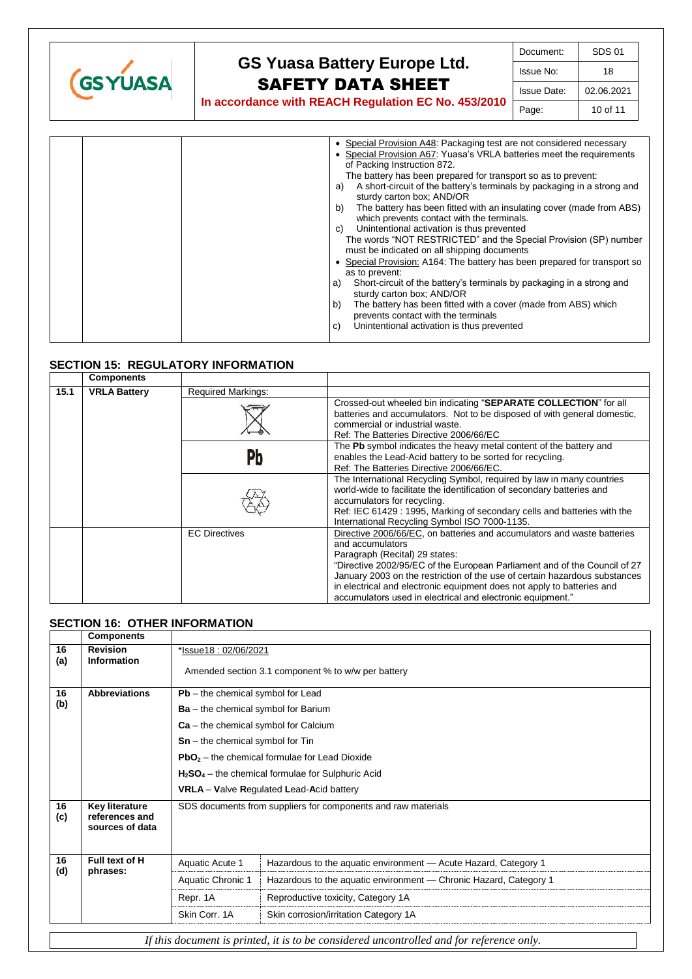

| Document:   | SDS 01     |
|-------------|------------|
| Issue No:   | 18         |
| Issue Date: | 02.06.2021 |
| Page:       | 10 of 11   |

|  | • Special Provision A48: Packaging test are not considered necessary<br>• Special Provision A67: Yuasa's VRLA batteries meet the requirements<br>of Packing Instruction 872.<br>The battery has been prepared for transport so as to prevent:<br>A short-circuit of the battery's terminals by packaging in a strong and<br>a)<br>sturdy carton box; AND/OR<br>The battery has been fitted with an insulating cover (made from ABS)<br>b)<br>which prevents contact with the terminals.<br>Unintentional activation is thus prevented<br>C)<br>The words "NOT RESTRICTED" and the Special Provision (SP) number<br>must be indicated on all shipping documents<br>• Special Provision: A164: The battery has been prepared for transport so<br>as to prevent:<br>Short-circuit of the battery's terminals by packaging in a strong and<br>a)<br>sturdy carton box; AND/OR<br>The battery has been fitted with a cover (made from ABS) which<br>b) |
|--|---------------------------------------------------------------------------------------------------------------------------------------------------------------------------------------------------------------------------------------------------------------------------------------------------------------------------------------------------------------------------------------------------------------------------------------------------------------------------------------------------------------------------------------------------------------------------------------------------------------------------------------------------------------------------------------------------------------------------------------------------------------------------------------------------------------------------------------------------------------------------------------------------------------------------------------------------|
|  | prevents contact with the terminals<br>Unintentional activation is thus prevented<br>C)                                                                                                                                                                                                                                                                                                                                                                                                                                                                                                                                                                                                                                                                                                                                                                                                                                                           |

### **SECTION 15: REGULATORY INFORMATION**

|      | <b>Components</b>   |                           |                                                                                                                                                                                                                                                                                                                                                                                                                                  |
|------|---------------------|---------------------------|----------------------------------------------------------------------------------------------------------------------------------------------------------------------------------------------------------------------------------------------------------------------------------------------------------------------------------------------------------------------------------------------------------------------------------|
| 15.1 | <b>VRLA Battery</b> | <b>Required Markings:</b> |                                                                                                                                                                                                                                                                                                                                                                                                                                  |
|      |                     |                           | Crossed-out wheeled bin indicating "SEPARATE COLLECTION" for all<br>batteries and accumulators. Not to be disposed of with general domestic.<br>commercial or industrial waste.<br>Ref: The Batteries Directive 2006/66/EC                                                                                                                                                                                                       |
|      |                     | Pb                        | The Pb symbol indicates the heavy metal content of the battery and<br>enables the Lead-Acid battery to be sorted for recycling.<br>Ref: The Batteries Directive 2006/66/EC.                                                                                                                                                                                                                                                      |
|      |                     |                           | The International Recycling Symbol, required by law in many countries<br>world-wide to facilitate the identification of secondary batteries and<br>accumulators for recycling.<br>Ref: IEC 61429 : 1995, Marking of secondary cells and batteries with the<br>International Recycling Symbol ISO 7000-1135.                                                                                                                      |
|      |                     | <b>EC Directives</b>      | Directive 2006/66/EC, on batteries and accumulators and waste batteries<br>and accumulators<br>Paragraph (Recital) 29 states:<br>"Directive 2002/95/EC of the European Parliament and of the Council of 27<br>January 2003 on the restriction of the use of certain hazardous substances<br>in electrical and electronic equipment does not apply to batteries and<br>accumulators used in electrical and electronic equipment." |

### **SECTION 16: OTHER INFORMATION**

|                                                                                          | <b>Components</b>                                   |                                                               |                                                                   |  |
|------------------------------------------------------------------------------------------|-----------------------------------------------------|---------------------------------------------------------------|-------------------------------------------------------------------|--|
| 16<br>(a)                                                                                | <b>Revision</b><br><b>Information</b>               | *Issue18: 02/06/2021                                          |                                                                   |  |
|                                                                                          |                                                     | Amended section 3.1 component % to w/w per battery            |                                                                   |  |
| 16                                                                                       | <b>Abbreviations</b>                                | $Pb$ – the chemical symbol for Lead                           |                                                                   |  |
| (b)                                                                                      |                                                     | $Ba - the chemical symbol for Barium$                         |                                                                   |  |
|                                                                                          |                                                     | $Ca - the chemical symbol for Calcium$                        |                                                                   |  |
|                                                                                          |                                                     | $Sn$ – the chemical symbol for Tin                            |                                                                   |  |
|                                                                                          |                                                     | $PbO2$ – the chemical formulae for Lead Dioxide               |                                                                   |  |
|                                                                                          |                                                     | $H2SO4$ – the chemical formulae for Sulphuric Acid            |                                                                   |  |
|                                                                                          |                                                     | <b>VRLA</b> - Valve Regulated Lead-Acid battery               |                                                                   |  |
| 16<br>(c)                                                                                | Key literature<br>references and<br>sources of data | SDS documents from suppliers for components and raw materials |                                                                   |  |
| 16                                                                                       | Full text of H<br>phrases:                          | Aquatic Acute 1                                               | Hazardous to the aquatic environment - Acute Hazard, Category 1   |  |
| (d)                                                                                      |                                                     | Aquatic Chronic 1                                             | Hazardous to the aquatic environment — Chronic Hazard, Category 1 |  |
|                                                                                          |                                                     | Repr. 1A                                                      | Reproductive toxicity, Category 1A                                |  |
|                                                                                          |                                                     | Skin Corr, 1A                                                 | Skin corrosion/irritation Category 1A                             |  |
| If this document is printed, it is to be considered uncontrolled and for reference only. |                                                     |                                                               |                                                                   |  |